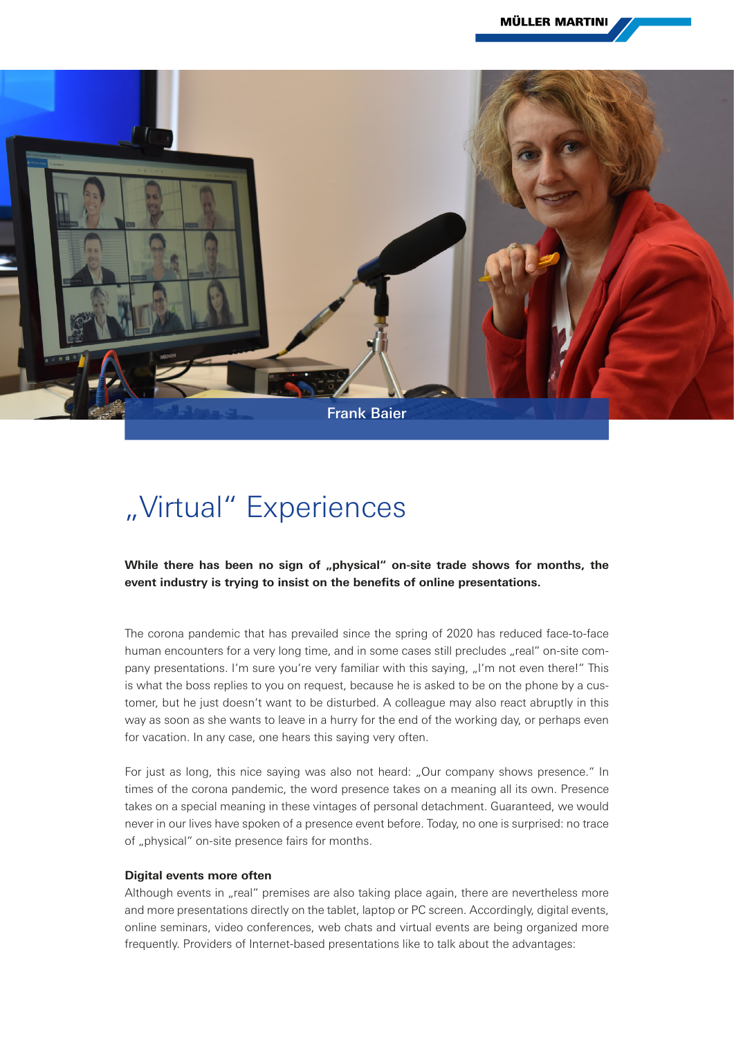

## "Virtual" Experiences

While there has been no sign of "physical" on-site trade shows for months, the **event industry is trying to insist on the benefits of online presentations.**

The corona pandemic that has prevailed since the spring of 2020 has reduced face-to-face human encounters for a very long time, and in some cases still precludes "real" on-site company presentations. I'm sure you're very familiar with this saying, "I'm not even there!" This is what the boss replies to you on request, because he is asked to be on the phone by a customer, but he just doesn't want to be disturbed. A colleague may also react abruptly in this way as soon as she wants to leave in a hurry for the end of the working day, or perhaps even for vacation. In any case, one hears this saying very often.

For just as long, this nice saying was also not heard: "Our company shows presence." In times of the corona pandemic, the word presence takes on a meaning all its own. Presence takes on a special meaning in these vintages of personal detachment. Guaranteed, we would never in our lives have spoken of a presence event before. Today, no one is surprised: no trace of "physical" on-site presence fairs for months.

## **Digital events more often**

Although events in "real" premises are also taking place again, there are nevertheless more and more presentations directly on the tablet, laptop or PC screen. Accordingly, digital events, online seminars, video conferences, web chats and virtual events are being organized more frequently. Providers of Internet-based presentations like to talk about the advantages: